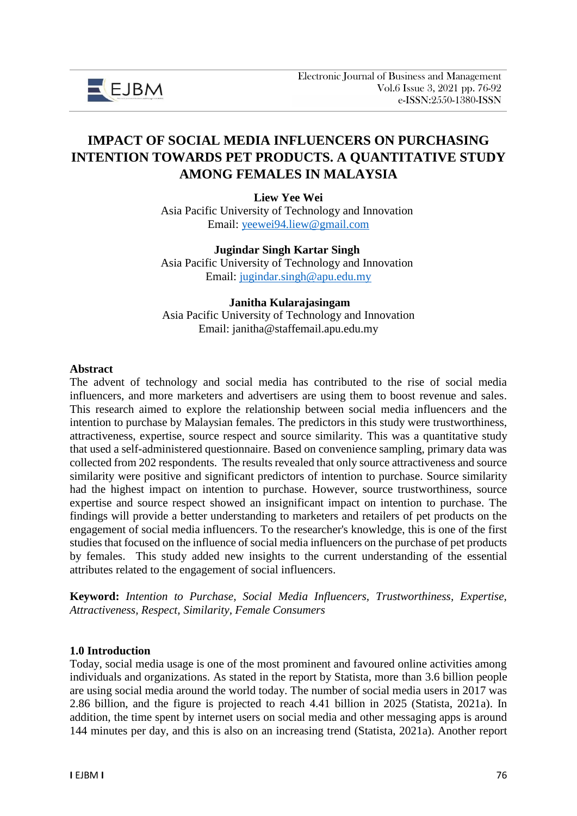

# **IMPACT OF SOCIAL MEDIA INFLUENCERS ON PURCHASING INTENTION TOWARDS PET PRODUCTS. A QUANTITATIVE STUDY AMONG FEMALES IN MALAYSIA**

**Liew Yee Wei** Asia Pacific University of Technology and Innovation

Email: [yeewei94.liew@gmail.com](mailto:yeewei94.liew@gmail.com)

**Jugindar Singh Kartar Singh** Asia Pacific University of Technology and Innovation Email: [jugindar.singh@apu.edu.my](mailto:jugindar.singh@apu.edu.my)

# **Janitha Kularajasingam**

Asia Pacific University of Technology and Innovation Email: janitha@staffemail.apu.edu.my

#### **Abstract**

The advent of technology and social media has contributed to the rise of social media influencers, and more marketers and advertisers are using them to boost revenue and sales. This research aimed to explore the relationship between social media influencers and the intention to purchase by Malaysian females. The predictors in this study were trustworthiness, attractiveness, expertise, source respect and source similarity. This was a quantitative study that used a self-administered questionnaire. Based on convenience sampling, primary data was collected from 202 respondents. The results revealed that only source attractiveness and source similarity were positive and significant predictors of intention to purchase. Source similarity had the highest impact on intention to purchase. However, source trustworthiness, source expertise and source respect showed an insignificant impact on intention to purchase. The findings will provide a better understanding to marketers and retailers of pet products on the engagement of social media influencers. To the researcher's knowledge, this is one of the first studies that focused on the influence of social media influencers on the purchase of pet products by females. This study added new insights to the current understanding of the essential attributes related to the engagement of social influencers.

**Keyword:** *Intention to Purchase, Social Media Influencers, Trustworthiness, Expertise, Attractiveness, Respect, Similarity, Female Consumers*

#### **1.0 Introduction**

Today, social media usage is one of the most prominent and favoured online activities among individuals and organizations. As stated in the report by Statista, more than 3.6 billion people are using social media around the world today. The number of social media users in 2017 was 2.86 billion, and the figure is projected to reach 4.41 billion in 2025 (Statista, 2021a). In addition, the time spent by internet users on social media and other messaging apps is around 144 minutes per day, and this is also on an increasing trend (Statista, 2021a). Another report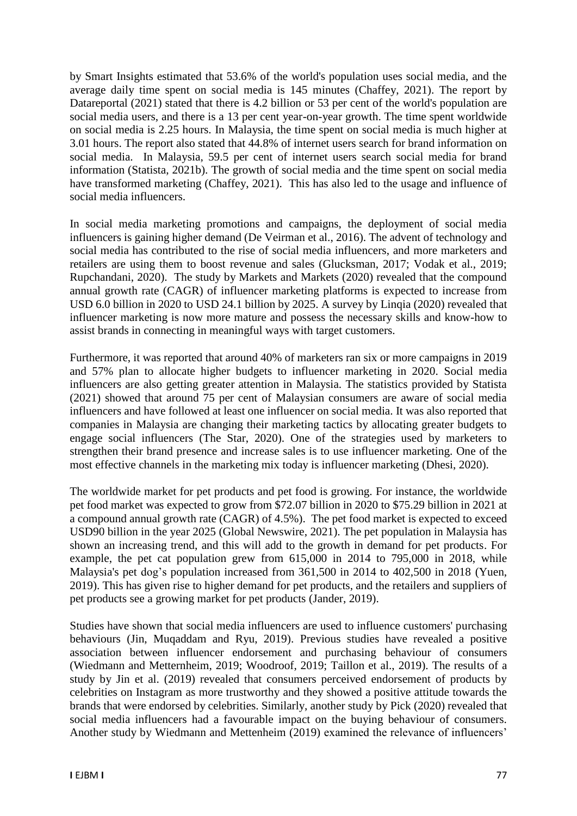by Smart Insights estimated that 53.6% of the world's population uses social media, and the average daily time spent on social media is 145 minutes (Chaffey, 2021). The report by Datareportal (2021) stated that there is 4.2 billion or 53 per cent of the world's population are social media users, and there is a 13 per cent year-on-year growth. The time spent worldwide on social media is 2.25 hours. In Malaysia, the time spent on social media is much higher at 3.01 hours. The report also stated that 44.8% of internet users search for brand information on social media. In Malaysia, 59.5 per cent of internet users search social media for brand information (Statista, 2021b). The growth of social media and the time spent on social media have transformed marketing (Chaffey, 2021). This has also led to the usage and influence of social media influencers.

In social media marketing promotions and campaigns, the deployment of social media influencers is gaining higher demand (De Veirman et al., 2016). The advent of technology and social media has contributed to the rise of social media influencers, and more marketers and retailers are using them to boost revenue and sales (Glucksman, 2017; Vodak et al., 2019; Rupchandani, 2020). The study by Markets and Markets (2020) revealed that the compound annual growth rate (CAGR) of influencer marketing platforms is expected to increase from USD 6.0 billion in 2020 to USD 24.1 billion by 2025. A survey by Linqia (2020) revealed that influencer marketing is now more mature and possess the necessary skills and know-how to assist brands in connecting in meaningful ways with target customers.

Furthermore, it was reported that around 40% of marketers ran six or more campaigns in 2019 and 57% plan to allocate higher budgets to influencer marketing in 2020. Social media influencers are also getting greater attention in Malaysia. The statistics provided by Statista (2021) showed that around 75 per cent of Malaysian consumers are aware of social media influencers and have followed at least one influencer on social media. It was also reported that companies in Malaysia are changing their marketing tactics by allocating greater budgets to engage social influencers (The Star, 2020). One of the strategies used by marketers to strengthen their brand presence and increase sales is to use influencer marketing. One of the most effective channels in the marketing mix today is influencer marketing (Dhesi, 2020).

The worldwide market for pet products and pet food is growing. For instance, the worldwide pet food market was expected to grow from \$72.07 billion in 2020 to \$75.29 billion in 2021 at a compound annual growth rate (CAGR) of 4.5%). The pet food market is expected to exceed USD90 billion in the year 2025 (Global Newswire, 2021). The pet population in Malaysia has shown an increasing trend, and this will add to the growth in demand for pet products. For example, the pet cat population grew from 615,000 in 2014 to 795,000 in 2018, while Malaysia's pet dog's population increased from 361,500 in 2014 to 402,500 in 2018 (Yuen, 2019). This has given rise to higher demand for pet products, and the retailers and suppliers of pet products see a growing market for pet products (Jander, 2019).

Studies have shown that social media influencers are used to influence customers' purchasing behaviours (Jin, Muqaddam and Ryu, 2019). Previous studies have revealed a positive association between influencer endorsement and purchasing behaviour of consumers (Wiedmann and Metternheim, 2019; Woodroof, 2019; Taillon et al., 2019). The results of a study by Jin et al. (2019) revealed that consumers perceived endorsement of products by celebrities on Instagram as more trustworthy and they showed a positive attitude towards the brands that were endorsed by celebrities. Similarly, another study by Pick (2020) revealed that social media influencers had a favourable impact on the buying behaviour of consumers. Another study by Wiedmann and Mettenheim (2019) examined the relevance of influencers'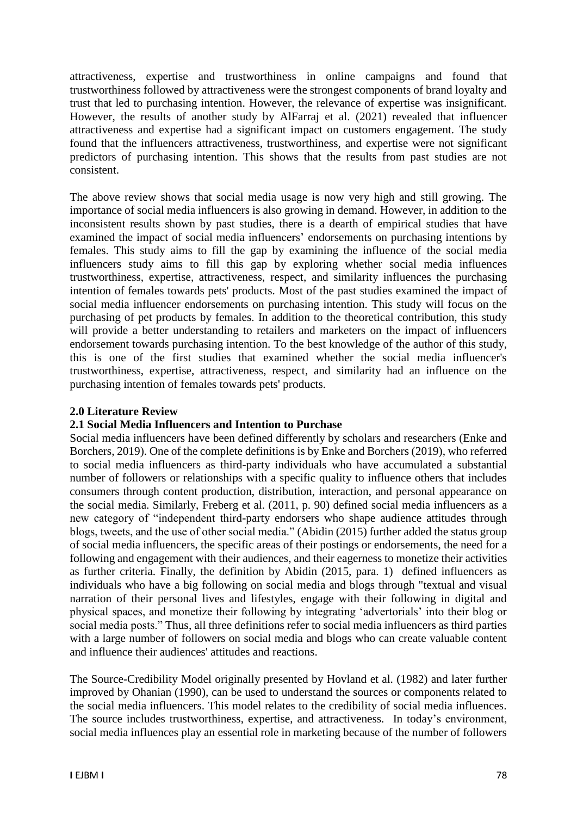attractiveness, expertise and trustworthiness in online campaigns and found that trustworthiness followed by attractiveness were the strongest components of brand loyalty and trust that led to purchasing intention. However, the relevance of expertise was insignificant. However, the results of another study by AlFarraj et al. (2021) revealed that influencer attractiveness and expertise had a significant impact on customers engagement. The study found that the influencers attractiveness, trustworthiness, and expertise were not significant predictors of purchasing intention. This shows that the results from past studies are not consistent.

The above review shows that social media usage is now very high and still growing. The importance of social media influencers is also growing in demand. However, in addition to the inconsistent results shown by past studies, there is a dearth of empirical studies that have examined the impact of social media influencers' endorsements on purchasing intentions by females. This study aims to fill the gap by examining the influence of the social media influencers study aims to fill this gap by exploring whether social media influences trustworthiness, expertise, attractiveness, respect, and similarity influences the purchasing intention of females towards pets' products. Most of the past studies examined the impact of social media influencer endorsements on purchasing intention. This study will focus on the purchasing of pet products by females. In addition to the theoretical contribution, this study will provide a better understanding to retailers and marketers on the impact of influencers endorsement towards purchasing intention. To the best knowledge of the author of this study, this is one of the first studies that examined whether the social media influencer's trustworthiness, expertise, attractiveness, respect, and similarity had an influence on the purchasing intention of females towards pets' products.

## **2.0 Literature Review**

# **2.1 Social Media Influencers and Intention to Purchase**

Social media influencers have been defined differently by scholars and researchers (Enke and Borchers, 2019). One of the complete definitions is by Enke and Borchers (2019), who referred to social media influencers as third-party individuals who have accumulated a substantial number of followers or relationships with a specific quality to influence others that includes consumers through content production, distribution, interaction, and personal appearance on the social media. Similarly, Freberg et al. (2011, p. 90) defined social media influencers as a new category of "independent third-party endorsers who shape audience attitudes through blogs, tweets, and the use of other social media." (Abidin (2015) further added the status group of social media influencers, the specific areas of their postings or endorsements, the need for a following and engagement with their audiences, and their eagerness to monetize their activities as further criteria. Finally, the definition by Abidin (2015, para. 1) defined influencers as individuals who have a big following on social media and blogs through "textual and visual narration of their personal lives and lifestyles, engage with their following in digital and physical spaces, and monetize their following by integrating 'advertorials' into their blog or social media posts." Thus, all three definitions refer to social media influencers as third parties with a large number of followers on social media and blogs who can create valuable content and influence their audiences' attitudes and reactions.

The Source-Credibility Model originally presented by Hovland et al. (1982) and later further improved by Ohanian (1990), can be used to understand the sources or components related to the social media influencers. This model relates to the credibility of social media influences. The source includes trustworthiness, expertise, and attractiveness. In today's environment, social media influences play an essential role in marketing because of the number of followers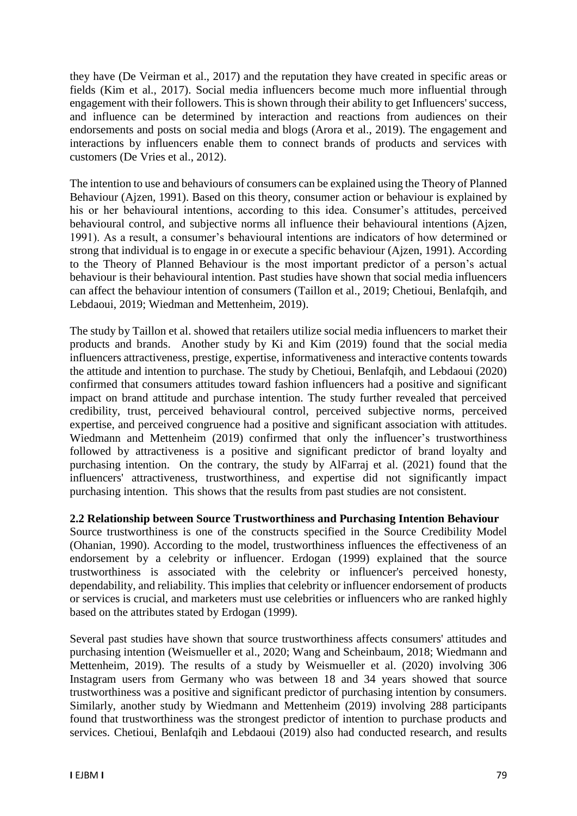they have (De Veirman et al., 2017) and the reputation they have created in specific areas or fields (Kim et al., 2017). Social media influencers become much more influential through engagement with their followers. This is shown through their ability to get Influencers' success, and influence can be determined by interaction and reactions from audiences on their endorsements and posts on social media and blogs (Arora et al., 2019). The engagement and interactions by influencers enable them to connect brands of products and services with customers (De Vries et al., 2012).

The intention to use and behaviours of consumers can be explained using the Theory of Planned Behaviour (Aizen, 1991). Based on this theory, consumer action or behaviour is explained by his or her behavioural intentions, according to this idea. Consumer's attitudes, perceived behavioural control, and subjective norms all influence their behavioural intentions (Ajzen, 1991). As a result, a consumer's behavioural intentions are indicators of how determined or strong that individual is to engage in or execute a specific behaviour (Ajzen, 1991). According to the Theory of Planned Behaviour is the most important predictor of a person's actual behaviour is their behavioural intention. Past studies have shown that social media influencers can affect the behaviour intention of consumers (Taillon et al., 2019; Chetioui, Benlafqih, and Lebdaoui, 2019; Wiedman and Mettenheim, 2019).

The study by Taillon et al. showed that retailers utilize social media influencers to market their products and brands. Another study by Ki and Kim (2019) found that the social media influencers attractiveness, prestige, expertise, informativeness and interactive contents towards the attitude and intention to purchase. The study by Chetioui, Benlafqih, and Lebdaoui (2020) confirmed that consumers attitudes toward fashion influencers had a positive and significant impact on brand attitude and purchase intention. The study further revealed that perceived credibility, trust, perceived behavioural control, perceived subjective norms, perceived expertise, and perceived congruence had a positive and significant association with attitudes. Wiedmann and Mettenheim (2019) confirmed that only the influencer's trustworthiness followed by attractiveness is a positive and significant predictor of brand loyalty and purchasing intention. On the contrary, the study by AlFarraj et al. (2021) found that the influencers' attractiveness, trustworthiness, and expertise did not significantly impact purchasing intention. This shows that the results from past studies are not consistent.

# **2.2 Relationship between Source Trustworthiness and Purchasing Intention Behaviour**

Source trustworthiness is one of the constructs specified in the Source Credibility Model (Ohanian, 1990). According to the model, trustworthiness influences the effectiveness of an endorsement by a celebrity or influencer. Erdogan (1999) explained that the source trustworthiness is associated with the celebrity or influencer's perceived honesty, dependability, and reliability. This implies that celebrity or influencer endorsement of products or services is crucial, and marketers must use celebrities or influencers who are ranked highly based on the attributes stated by Erdogan (1999).

Several past studies have shown that source trustworthiness affects consumers' attitudes and purchasing intention (Weismueller et al., 2020; Wang and Scheinbaum, 2018; Wiedmann and Mettenheim, 2019). The results of a study by Weismueller et al. (2020) involving 306 Instagram users from Germany who was between 18 and 34 years showed that source trustworthiness was a positive and significant predictor of purchasing intention by consumers. Similarly, another study by Wiedmann and Mettenheim (2019) involving 288 participants found that trustworthiness was the strongest predictor of intention to purchase products and services. Chetioui, Benlafqih and Lebdaoui (2019) also had conducted research, and results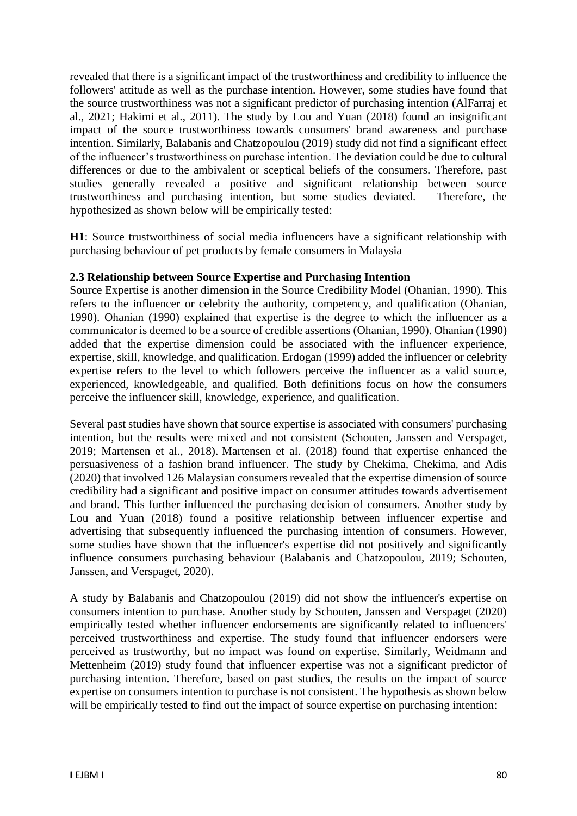revealed that there is a significant impact of the trustworthiness and credibility to influence the followers' attitude as well as the purchase intention. However, some studies have found that the source trustworthiness was not a significant predictor of purchasing intention (AlFarraj et al., 2021; Hakimi et al., 2011). The study by Lou and Yuan (2018) found an insignificant impact of the source trustworthiness towards consumers' brand awareness and purchase intention. Similarly, Balabanis and Chatzopoulou (2019) study did not find a significant effect of the influencer's trustworthiness on purchase intention. The deviation could be due to cultural differences or due to the ambivalent or sceptical beliefs of the consumers. Therefore, past studies generally revealed a positive and significant relationship between source trustworthiness and purchasing intention, but some studies deviated. Therefore, the hypothesized as shown below will be empirically tested:

**H1**: Source trustworthiness of social media influencers have a significant relationship with purchasing behaviour of pet products by female consumers in Malaysia

## **2.3 Relationship between Source Expertise and Purchasing Intention**

Source Expertise is another dimension in the Source Credibility Model (Ohanian, 1990). This refers to the influencer or celebrity the authority, competency, and qualification (Ohanian, 1990). Ohanian (1990) explained that expertise is the degree to which the influencer as a communicator is deemed to be a source of credible assertions (Ohanian, 1990). Ohanian (1990) added that the expertise dimension could be associated with the influencer experience, expertise, skill, knowledge, and qualification. Erdogan (1999) added the influencer or celebrity expertise refers to the level to which followers perceive the influencer as a valid source, experienced, knowledgeable, and qualified. Both definitions focus on how the consumers perceive the influencer skill, knowledge, experience, and qualification.

Several past studies have shown that source expertise is associated with consumers' purchasing intention, but the results were mixed and not consistent (Schouten, Janssen and Verspaget, 2019; Martensen et al., 2018). Martensen et al. (2018) found that expertise enhanced the persuasiveness of a fashion brand influencer. The study by Chekima, Chekima, and Adis (2020) that involved 126 Malaysian consumers revealed that the expertise dimension of source credibility had a significant and positive impact on consumer attitudes towards advertisement and brand. This further influenced the purchasing decision of consumers. Another study by Lou and Yuan (2018) found a positive relationship between influencer expertise and advertising that subsequently influenced the purchasing intention of consumers. However, some studies have shown that the influencer's expertise did not positively and significantly influence consumers purchasing behaviour (Balabanis and Chatzopoulou, 2019; Schouten, Janssen, and Verspaget, 2020).

A study by Balabanis and Chatzopoulou (2019) did not show the influencer's expertise on consumers intention to purchase. Another study by Schouten, Janssen and Verspaget (2020) empirically tested whether influencer endorsements are significantly related to influencers' perceived trustworthiness and expertise. The study found that influencer endorsers were perceived as trustworthy, but no impact was found on expertise. Similarly, Weidmann and Mettenheim (2019) study found that influencer expertise was not a significant predictor of purchasing intention. Therefore, based on past studies, the results on the impact of source expertise on consumers intention to purchase is not consistent. The hypothesis as shown below will be empirically tested to find out the impact of source expertise on purchasing intention: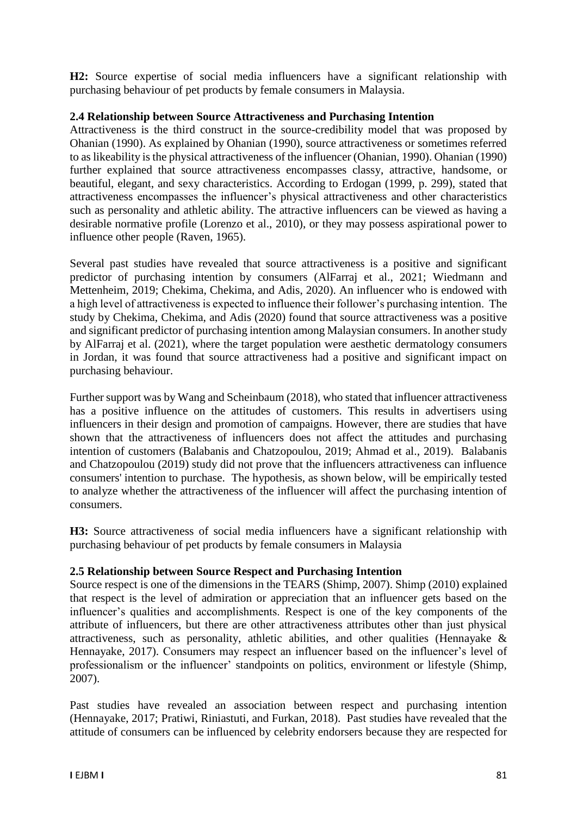**H2:** Source expertise of social media influencers have a significant relationship with purchasing behaviour of pet products by female consumers in Malaysia.

## **2.4 Relationship between Source Attractiveness and Purchasing Intention**

Attractiveness is the third construct in the source-credibility model that was proposed by Ohanian (1990). As explained by Ohanian (1990), source attractiveness or sometimes referred to as likeability is the physical attractiveness of the influencer (Ohanian, 1990). Ohanian (1990) further explained that source attractiveness encompasses classy, attractive, handsome, or beautiful, elegant, and sexy characteristics. According to Erdogan (1999, p. 299), stated that attractiveness encompasses the influencer's physical attractiveness and other characteristics such as personality and athletic ability. The attractive influencers can be viewed as having a desirable normative profile (Lorenzo et al., 2010), or they may possess aspirational power to influence other people (Raven, 1965).

Several past studies have revealed that source attractiveness is a positive and significant predictor of purchasing intention by consumers (AlFarraj et al., 2021; Wiedmann and Mettenheim, 2019; Chekima, Chekima, and Adis, 2020). An influencer who is endowed with a high level of attractiveness is expected to influence their follower's purchasing intention. The study by Chekima, Chekima, and Adis (2020) found that source attractiveness was a positive and significant predictor of purchasing intention among Malaysian consumers. In another study by AlFarraj et al. (2021), where the target population were aesthetic dermatology consumers in Jordan, it was found that source attractiveness had a positive and significant impact on purchasing behaviour.

Further support was by Wang and Scheinbaum (2018), who stated that influencer attractiveness has a positive influence on the attitudes of customers. This results in advertisers using influencers in their design and promotion of campaigns. However, there are studies that have shown that the attractiveness of influencers does not affect the attitudes and purchasing intention of customers (Balabanis and Chatzopoulou, 2019; Ahmad et al., 2019). Balabanis and Chatzopoulou (2019) study did not prove that the influencers attractiveness can influence consumers' intention to purchase. The hypothesis, as shown below, will be empirically tested to analyze whether the attractiveness of the influencer will affect the purchasing intention of consumers.

**H3:** Source attractiveness of social media influencers have a significant relationship with purchasing behaviour of pet products by female consumers in Malaysia

# **2.5 Relationship between Source Respect and Purchasing Intention**

Source respect is one of the dimensions in the TEARS (Shimp, 2007). Shimp (2010) explained that respect is the level of admiration or appreciation that an influencer gets based on the influencer's qualities and accomplishments. Respect is one of the key components of the attribute of influencers, but there are other attractiveness attributes other than just physical attractiveness, such as personality, athletic abilities, and other qualities (Hennayake & Hennayake, 2017). Consumers may respect an influencer based on the influencer's level of professionalism or the influencer' standpoints on politics, environment or lifestyle (Shimp, 2007).

Past studies have revealed an association between respect and purchasing intention (Hennayake, 2017; Pratiwi, Riniastuti, and Furkan, 2018). Past studies have revealed that the attitude of consumers can be influenced by celebrity endorsers because they are respected for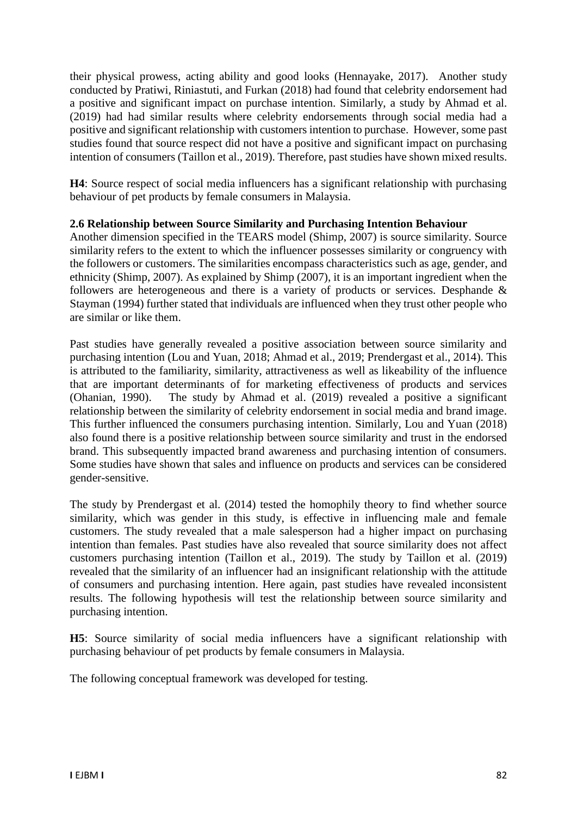their physical prowess, acting ability and good looks (Hennayake, 2017). Another study conducted by Pratiwi, Riniastuti, and Furkan (2018) had found that celebrity endorsement had a positive and significant impact on purchase intention. Similarly, a study by Ahmad et al. (2019) had had similar results where celebrity endorsements through social media had a positive and significant relationship with customers intention to purchase. However, some past studies found that source respect did not have a positive and significant impact on purchasing intention of consumers (Taillon et al., 2019). Therefore, past studies have shown mixed results.

**H4**: Source respect of social media influencers has a significant relationship with purchasing behaviour of pet products by female consumers in Malaysia.

## **2.6 Relationship between Source Similarity and Purchasing Intention Behaviour**

Another dimension specified in the TEARS model (Shimp, 2007) is source similarity. Source similarity refers to the extent to which the influencer possesses similarity or congruency with the followers or customers. The similarities encompass characteristics such as age, gender, and ethnicity (Shimp, 2007). As explained by Shimp (2007), it is an important ingredient when the followers are heterogeneous and there is a variety of products or services. Desphande & Stayman (1994) further stated that individuals are influenced when they trust other people who are similar or like them.

Past studies have generally revealed a positive association between source similarity and purchasing intention (Lou and Yuan, 2018; Ahmad et al., 2019; Prendergast et al., 2014). This is attributed to the familiarity, similarity, attractiveness as well as likeability of the influence that are important determinants of for marketing effectiveness of products and services (Ohanian, 1990). The study by Ahmad et al. (2019) revealed a positive a significant relationship between the similarity of celebrity endorsement in social media and brand image. This further influenced the consumers purchasing intention. Similarly, Lou and Yuan (2018) also found there is a positive relationship between source similarity and trust in the endorsed brand. This subsequently impacted brand awareness and purchasing intention of consumers. Some studies have shown that sales and influence on products and services can be considered gender-sensitive.

The study by Prendergast et al. (2014) tested the homophily theory to find whether source similarity, which was gender in this study, is effective in influencing male and female customers. The study revealed that a male salesperson had a higher impact on purchasing intention than females. Past studies have also revealed that source similarity does not affect customers purchasing intention (Taillon et al., 2019). The study by Taillon et al. (2019) revealed that the similarity of an influencer had an insignificant relationship with the attitude of consumers and purchasing intention. Here again, past studies have revealed inconsistent results. The following hypothesis will test the relationship between source similarity and purchasing intention.

**H5**: Source similarity of social media influencers have a significant relationship with purchasing behaviour of pet products by female consumers in Malaysia.

The following conceptual framework was developed for testing.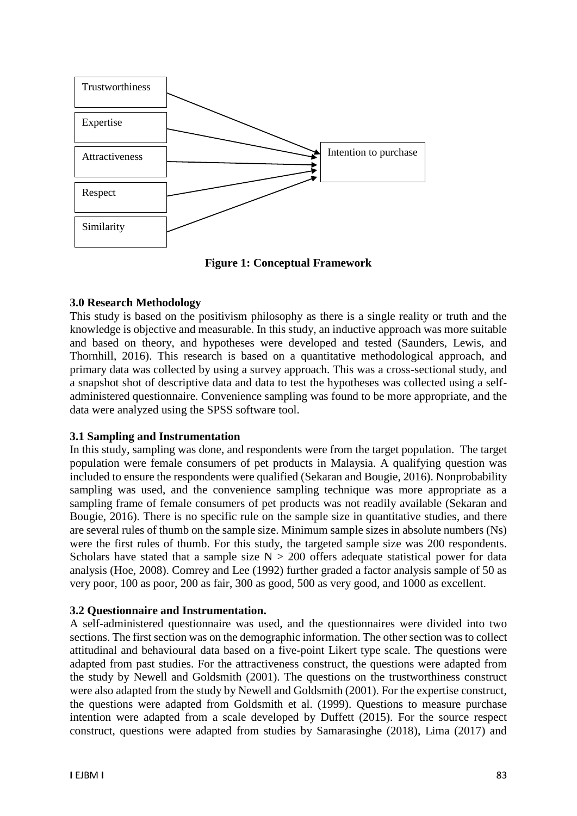

**Figure 1: Conceptual Framework**

# **3.0 Research Methodology**

This study is based on the positivism philosophy as there is a single reality or truth and the knowledge is objective and measurable. In this study, an inductive approach was more suitable and based on theory, and hypotheses were developed and tested (Saunders, Lewis, and Thornhill, 2016). This research is based on a quantitative methodological approach, and primary data was collected by using a survey approach. This was a cross-sectional study, and a snapshot shot of descriptive data and data to test the hypotheses was collected using a selfadministered questionnaire. Convenience sampling was found to be more appropriate, and the data were analyzed using the SPSS software tool.

# **3.1 Sampling and Instrumentation**

In this study, sampling was done, and respondents were from the target population. The target population were female consumers of pet products in Malaysia. A qualifying question was included to ensure the respondents were qualified (Sekaran and Bougie, 2016). Nonprobability sampling was used, and the convenience sampling technique was more appropriate as a sampling frame of female consumers of pet products was not readily available (Sekaran and Bougie, 2016). There is no specific rule on the sample size in quantitative studies, and there are several rules of thumb on the sample size. Minimum sample sizes in absolute numbers (Ns) were the first rules of thumb. For this study, the targeted sample size was 200 respondents. Scholars have stated that a sample size  $N > 200$  offers adequate statistical power for data analysis (Hoe, 2008). Comrey and Lee (1992) further graded a factor analysis sample of 50 as very poor, 100 as poor, 200 as fair, 300 as good, 500 as very good, and 1000 as excellent.

# **3.2 Questionnaire and Instrumentation.**

A self-administered questionnaire was used, and the questionnaires were divided into two sections. The first section was on the demographic information. The other section was to collect attitudinal and behavioural data based on a five-point Likert type scale. The questions were adapted from past studies. For the attractiveness construct, the questions were adapted from the study by Newell and Goldsmith (2001). The questions on the trustworthiness construct were also adapted from the study by Newell and Goldsmith (2001). For the expertise construct, the questions were adapted from Goldsmith et al. (1999). Questions to measure purchase intention were adapted from a scale developed by Duffett (2015). For the source respect construct, questions were adapted from studies by Samarasinghe (2018), Lima (2017) and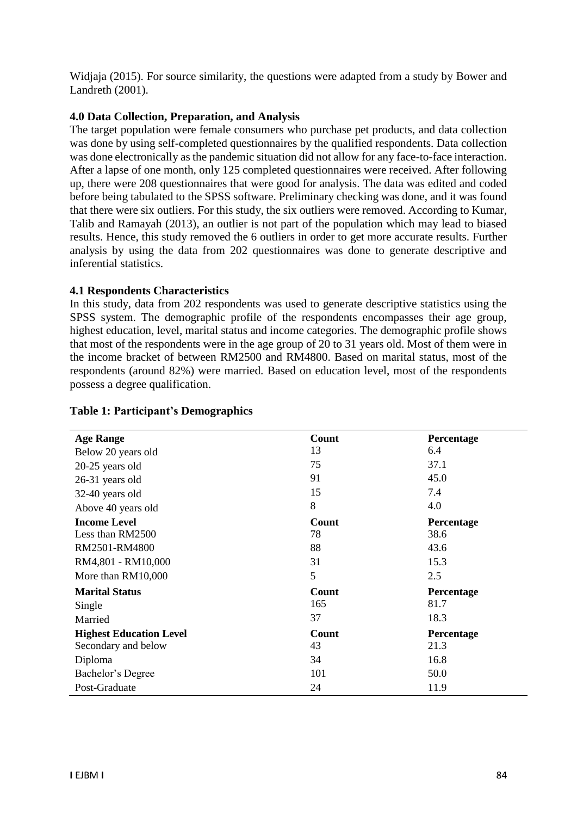Widjaja (2015). For source similarity, the questions were adapted from a study by Bower and Landreth (2001).

## **4.0 Data Collection, Preparation, and Analysis**

The target population were female consumers who purchase pet products, and data collection was done by using self-completed questionnaires by the qualified respondents. Data collection was done electronically as the pandemic situation did not allow for any face-to-face interaction. After a lapse of one month, only 125 completed questionnaires were received. After following up, there were 208 questionnaires that were good for analysis. The data was edited and coded before being tabulated to the SPSS software. Preliminary checking was done, and it was found that there were six outliers. For this study, the six outliers were removed. According to Kumar, Talib and Ramayah (2013), an outlier is not part of the population which may lead to biased results. Hence, this study removed the 6 outliers in order to get more accurate results. Further analysis by using the data from 202 questionnaires was done to generate descriptive and inferential statistics.

## **4.1 Respondents Characteristics**

In this study, data from 202 respondents was used to generate descriptive statistics using the SPSS system. The demographic profile of the respondents encompasses their age group, highest education, level, marital status and income categories. The demographic profile shows that most of the respondents were in the age group of 20 to 31 years old. Most of them were in the income bracket of between RM2500 and RM4800. Based on marital status, most of the respondents (around 82%) were married. Based on education level, most of the respondents possess a degree qualification.

| <b>Age Range</b>               | Count        | Percentage |
|--------------------------------|--------------|------------|
| Below 20 years old             | 13           | 6.4        |
| $20-25$ years old              | 75           | 37.1       |
| 26-31 years old                | 91           | 45.0       |
| 32-40 years old                | 15           | 7.4        |
| Above 40 years old             | 8            | 4.0        |
| <b>Income Level</b>            | <b>Count</b> | Percentage |
| Less than RM2500               | 78           | 38.6       |
| RM2501-RM4800                  | 88           | 43.6       |
| RM4,801 - RM10,000             | 31           | 15.3       |
| More than RM10,000             | 5            | 2.5        |
| <b>Marital Status</b>          | Count        | Percentage |
| Single                         | 165          | 81.7       |
| Married                        | 37           | 18.3       |
| <b>Highest Education Level</b> | Count        | Percentage |
| Secondary and below            | 43           | 21.3       |
| Diploma                        | 34           | 16.8       |
| Bachelor's Degree              | 101          | 50.0       |
| Post-Graduate                  | 24           | 11.9       |

#### **Table 1: Participant's Demographics**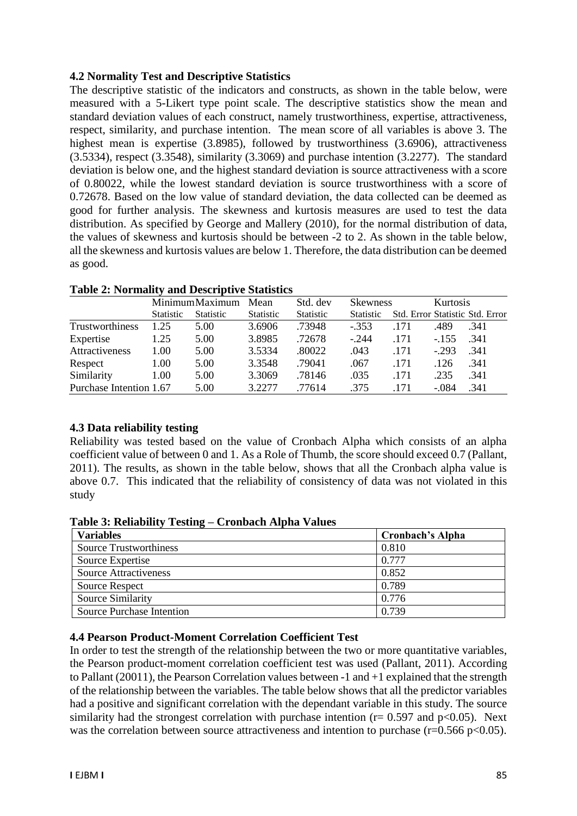## **4.2 Normality Test and Descriptive Statistics**

The descriptive statistic of the indicators and constructs, as shown in the table below, were measured with a 5-Likert type point scale. The descriptive statistics show the mean and standard deviation values of each construct, namely trustworthiness, expertise, attractiveness, respect, similarity, and purchase intention. The mean score of all variables is above 3. The highest mean is expertise (3.8985), followed by trustworthiness (3.6906), attractiveness (3.5334), respect (3.3548), similarity (3.3069) and purchase intention (3.2277). The standard deviation is below one, and the highest standard deviation is source attractiveness with a score of 0.80022, while the lowest standard deviation is source trustworthiness with a score of 0.72678. Based on the low value of standard deviation, the data collected can be deemed as good for further analysis. The skewness and kurtosis measures are used to test the data distribution. As specified by George and Mallery (2010), for the normal distribution of data, the values of skewness and kurtosis should be between -2 to 2. As shown in the table below, all the skewness and kurtosis values are below 1. Therefore, the data distribution can be deemed as good.

|                         | MinimumMaximum   |                  | Std. dev<br>Mean |                  | <b>Skewness</b>  |      |         | Kurtosis                        |  |
|-------------------------|------------------|------------------|------------------|------------------|------------------|------|---------|---------------------------------|--|
|                         | <b>Statistic</b> | <b>Statistic</b> | <b>Statistic</b> | <b>Statistic</b> | <b>Statistic</b> |      |         | Std. Error Statistic Std. Error |  |
| Trustworthiness         | 1.25             | 5.00             | 3.6906           | .73948           | $-.353$          | .171 | .489    | .341                            |  |
| Expertise               | 1.25             | 5.00             | 3.8985           | .72678           | $-.244$          | .171 | $-155$  | .341                            |  |
| Attractiveness          | 1.00             | 5.00             | 3.5334           | .80022           | .043             | .171 | $-293$  | .341                            |  |
| Respect                 | 1.00             | 5.00             | 3.3548           | .79041           | .067             | .171 | .126    | .341                            |  |
| Similarity              | 1.00             | 5.00             | 3.3069           | .78146           | .035             | .171 | .235    | .341                            |  |
| Purchase Intention 1.67 |                  | 5.00             | 3.2277           | .77614           | .375             | .171 | $-.084$ | .341                            |  |

#### **4.3 Data reliability testing**

Reliability was tested based on the value of Cronbach Alpha which consists of an alpha coefficient value of between 0 and 1. As a Role of Thumb, the score should exceed 0.7 (Pallant, 2011). The results, as shown in the table below, shows that all the Cronbach alpha value is above 0.7. This indicated that the reliability of consistency of data was not violated in this study

**Table 3: Reliability Testing – Cronbach Alpha Values**

| <b>Variables</b>              | <b>Cronbach's Alpha</b> |
|-------------------------------|-------------------------|
| <b>Source Trustworthiness</b> | 0.810                   |
| Source Expertise              | 0.777                   |
| <b>Source Attractiveness</b>  | 0.852                   |
| <b>Source Respect</b>         | 0.789                   |
| Source Similarity             | 0.776                   |
| Source Purchase Intention     | 0.739                   |

#### **4.4 Pearson Product-Moment Correlation Coefficient Test**

In order to test the strength of the relationship between the two or more quantitative variables, the Pearson product-moment correlation coefficient test was used (Pallant, 2011). According to Pallant (20011), the Pearson Correlation values between -1 and +1 explained that the strength of the relationship between the variables. The table below shows that all the predictor variables had a positive and significant correlation with the dependant variable in this study. The source similarity had the strongest correlation with purchase intention ( $r= 0.597$  and  $p<0.05$ ). Next was the correlation between source attractiveness and intention to purchase ( $r=0.566$  p $<0.05$ ).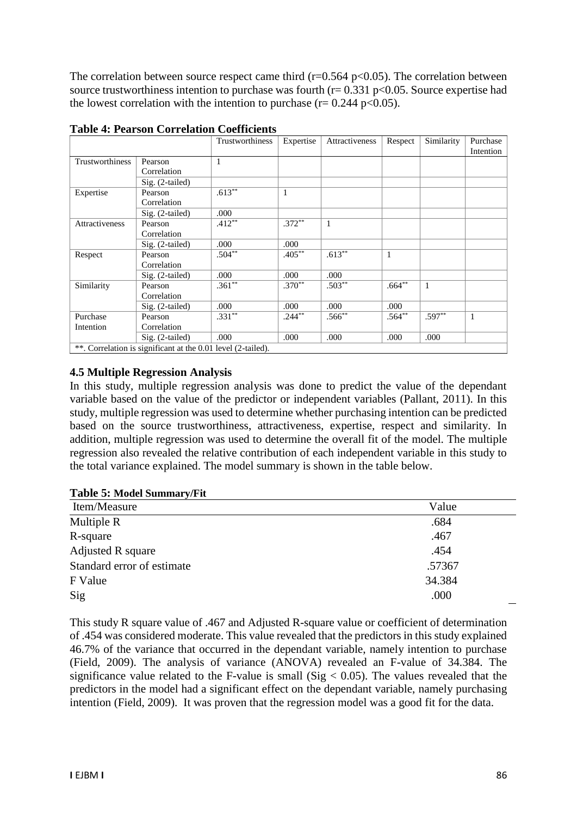The correlation between source respect came third ( $r=0.564$  p $<0.05$ ). The correlation between source trustworthiness intention to purchase was fourth ( $r= 0.331$  p<0.05. Source expertise had the lowest correlation with the intention to purchase ( $r = 0.244$  p<0.05).

|                 |                                                              | Trustworthiness | Expertise | Attractiveness | Respect   | Similarity | Purchase     |
|-----------------|--------------------------------------------------------------|-----------------|-----------|----------------|-----------|------------|--------------|
| Trustworthiness | Pearson                                                      | 1               |           |                |           |            | Intention    |
|                 | Correlation                                                  |                 |           |                |           |            |              |
|                 | $Sig. (2-tailed)$                                            |                 |           |                |           |            |              |
| Expertise       | Pearson                                                      | $.613***$       | 1         |                |           |            |              |
|                 | Correlation                                                  |                 |           |                |           |            |              |
|                 | $Sig. (2-tailed)$                                            | .000            |           |                |           |            |              |
| Attractiveness  | Pearson                                                      | $.412**$        | $.372***$ | $\mathbf{1}$   |           |            |              |
|                 | Correlation                                                  |                 |           |                |           |            |              |
|                 | Sig. (2-tailed)                                              | .000            | .000      |                |           |            |              |
| Respect         | Pearson                                                      | $.504**$        | $.405***$ | $.613***$      | 1         |            |              |
|                 | Correlation                                                  |                 |           |                |           |            |              |
|                 | Sig. (2-tailed)                                              | .000            | .000      | .000           |           |            |              |
| Similarity      | Pearson                                                      | $.361**$        | $.370**$  | $.503**$       | $.664***$ | 1          |              |
|                 | Correlation                                                  |                 |           |                |           |            |              |
|                 | $Sig. (2-tailed)$                                            | .000            | .000      | .000           | .000      |            |              |
| Purchase        | Pearson                                                      | $.331***$       | $.244***$ | $.566***$      | $.564***$ | $.597***$  | $\mathbf{1}$ |
| Intention       | Correlation                                                  |                 |           |                |           |            |              |
|                 | $Sig. (2-tailed)$                                            | .000            | .000      | .000           | .000      | .000       |              |
|                 | **. Correlation is significant at the 0.01 level (2-tailed). |                 |           |                |           |            |              |

**Table 4: Pearson Correlation Coefficients** 

 $*$ . Correlation is significant at the 0.01 level (2-tailed).

#### **4.5 Multiple Regression Analysis**

In this study, multiple regression analysis was done to predict the value of the dependant variable based on the value of the predictor or independent variables (Pallant, 2011). In this study, multiple regression was used to determine whether purchasing intention can be predicted based on the source trustworthiness, attractiveness, expertise, respect and similarity. In addition, multiple regression was used to determine the overall fit of the model. The multiple regression also revealed the relative contribution of each independent variable in this study to the total variance explained. The model summary is shown in the table below.

|  |  |  | Table 5: Model Summary/Fit |
|--|--|--|----------------------------|
|--|--|--|----------------------------|

| Item/Measure               | Value  |
|----------------------------|--------|
| Multiple R                 | .684   |
| R-square                   | .467   |
| Adjusted R square          | .454   |
| Standard error of estimate | .57367 |
| F Value                    | 34.384 |
| Sig                        | .000   |

This study R square value of .467 and Adjusted R-square value or coefficient of determination of .454 was considered moderate. This value revealed that the predictors in this study explained 46.7% of the variance that occurred in the dependant variable, namely intention to purchase (Field, 2009). The analysis of variance (ANOVA) revealed an F-value of 34.384. The significance value related to the F-value is small (Sig  $< 0.05$ ). The values revealed that the predictors in the model had a significant effect on the dependant variable, namely purchasing intention (Field, 2009). It was proven that the regression model was a good fit for the data.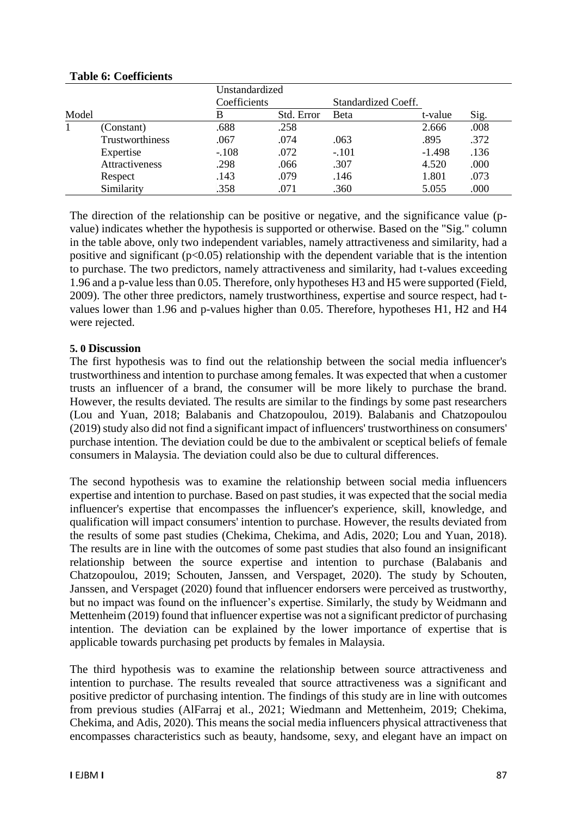|       |                 |              | Unstandardized |                     |          |      |  |
|-------|-----------------|--------------|----------------|---------------------|----------|------|--|
|       |                 | Coefficients |                | Standardized Coeff. |          |      |  |
| Model |                 | B            | Std. Error     | <b>Beta</b>         | t-value  | Sig. |  |
|       | (Constant)      | .688         | .258           |                     | 2.666    | .008 |  |
|       | Trustworthiness | .067         | .074           | .063                | .895     | .372 |  |
|       | Expertise       | $-.108$      | .072           | $-.101$             | $-1.498$ | .136 |  |
|       | Attractiveness  | .298         | .066           | .307                | 4.520    | .000 |  |
|       | Respect         | .143         | .079           | .146                | 1.801    | .073 |  |
|       | Similarity      | .358         | .071           | .360                | 5.055    | .000 |  |

## **Table 6: Coefficients**

The direction of the relationship can be positive or negative, and the significance value (pvalue) indicates whether the hypothesis is supported or otherwise. Based on the "Sig." column in the table above, only two independent variables, namely attractiveness and similarity, had a positive and significant ( $p<0.05$ ) relationship with the dependent variable that is the intention to purchase. The two predictors, namely attractiveness and similarity, had t-values exceeding 1.96 and a p-value less than 0.05. Therefore, only hypotheses H3 and H5 were supported (Field, 2009). The other three predictors, namely trustworthiness, expertise and source respect, had tvalues lower than 1.96 and p-values higher than 0.05. Therefore, hypotheses H1, H2 and H4 were rejected.

## **5. 0 Discussion**

The first hypothesis was to find out the relationship between the social media influencer's trustworthiness and intention to purchase among females. It was expected that when a customer trusts an influencer of a brand, the consumer will be more likely to purchase the brand. However, the results deviated. The results are similar to the findings by some past researchers (Lou and Yuan, 2018; Balabanis and Chatzopoulou, 2019). Balabanis and Chatzopoulou (2019) study also did not find a significant impact of influencers' trustworthiness on consumers' purchase intention. The deviation could be due to the ambivalent or sceptical beliefs of female consumers in Malaysia. The deviation could also be due to cultural differences.

The second hypothesis was to examine the relationship between social media influencers expertise and intention to purchase. Based on past studies, it was expected that the social media influencer's expertise that encompasses the influencer's experience, skill, knowledge, and qualification will impact consumers' intention to purchase. However, the results deviated from the results of some past studies (Chekima, Chekima, and Adis, 2020; Lou and Yuan, 2018). The results are in line with the outcomes of some past studies that also found an insignificant relationship between the source expertise and intention to purchase (Balabanis and Chatzopoulou, 2019; Schouten, Janssen, and Verspaget, 2020). The study by Schouten, Janssen, and Verspaget (2020) found that influencer endorsers were perceived as trustworthy, but no impact was found on the influencer's expertise. Similarly, the study by Weidmann and Mettenheim (2019) found that influencer expertise was not a significant predictor of purchasing intention. The deviation can be explained by the lower importance of expertise that is applicable towards purchasing pet products by females in Malaysia.

The third hypothesis was to examine the relationship between source attractiveness and intention to purchase. The results revealed that source attractiveness was a significant and positive predictor of purchasing intention. The findings of this study are in line with outcomes from previous studies (AlFarraj et al., 2021; Wiedmann and Mettenheim, 2019; Chekima, Chekima, and Adis, 2020). This means the social media influencers physical attractiveness that encompasses characteristics such as beauty, handsome, sexy, and elegant have an impact on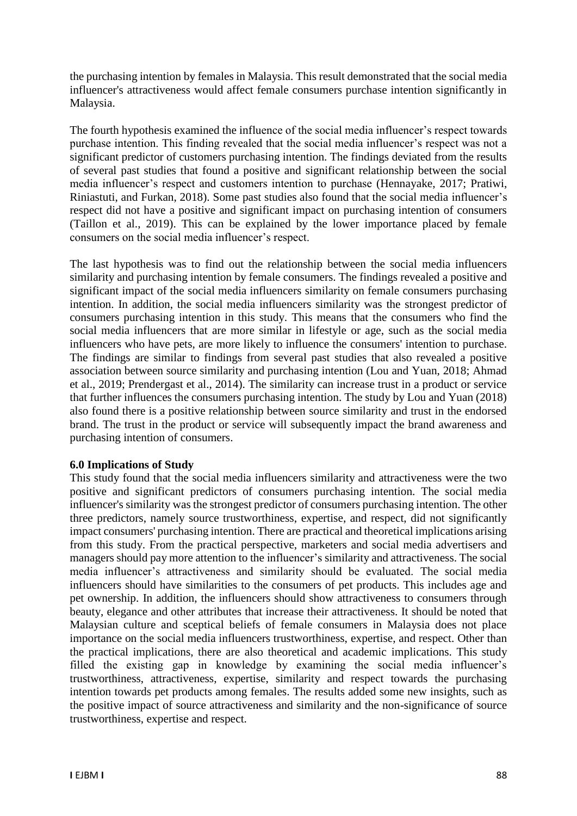the purchasing intention by females in Malaysia. This result demonstrated that the social media influencer's attractiveness would affect female consumers purchase intention significantly in Malaysia.

The fourth hypothesis examined the influence of the social media influencer's respect towards purchase intention. This finding revealed that the social media influencer's respect was not a significant predictor of customers purchasing intention. The findings deviated from the results of several past studies that found a positive and significant relationship between the social media influencer's respect and customers intention to purchase (Hennayake, 2017; Pratiwi, Riniastuti, and Furkan, 2018). Some past studies also found that the social media influencer's respect did not have a positive and significant impact on purchasing intention of consumers (Taillon et al., 2019). This can be explained by the lower importance placed by female consumers on the social media influencer's respect.

The last hypothesis was to find out the relationship between the social media influencers similarity and purchasing intention by female consumers. The findings revealed a positive and significant impact of the social media influencers similarity on female consumers purchasing intention. In addition, the social media influencers similarity was the strongest predictor of consumers purchasing intention in this study. This means that the consumers who find the social media influencers that are more similar in lifestyle or age, such as the social media influencers who have pets, are more likely to influence the consumers' intention to purchase. The findings are similar to findings from several past studies that also revealed a positive association between source similarity and purchasing intention (Lou and Yuan, 2018; Ahmad et al., 2019; Prendergast et al., 2014). The similarity can increase trust in a product or service that further influences the consumers purchasing intention. The study by Lou and Yuan (2018) also found there is a positive relationship between source similarity and trust in the endorsed brand. The trust in the product or service will subsequently impact the brand awareness and purchasing intention of consumers.

#### **6.0 Implications of Study**

This study found that the social media influencers similarity and attractiveness were the two positive and significant predictors of consumers purchasing intention. The social media influencer's similarity was the strongest predictor of consumers purchasing intention. The other three predictors, namely source trustworthiness, expertise, and respect, did not significantly impact consumers' purchasing intention. There are practical and theoretical implications arising from this study. From the practical perspective, marketers and social media advertisers and managers should pay more attention to the influencer's similarity and attractiveness. The social media influencer's attractiveness and similarity should be evaluated. The social media influencers should have similarities to the consumers of pet products. This includes age and pet ownership. In addition, the influencers should show attractiveness to consumers through beauty, elegance and other attributes that increase their attractiveness. It should be noted that Malaysian culture and sceptical beliefs of female consumers in Malaysia does not place importance on the social media influencers trustworthiness, expertise, and respect. Other than the practical implications, there are also theoretical and academic implications. This study filled the existing gap in knowledge by examining the social media influencer's trustworthiness, attractiveness, expertise, similarity and respect towards the purchasing intention towards pet products among females. The results added some new insights, such as the positive impact of source attractiveness and similarity and the non-significance of source trustworthiness, expertise and respect.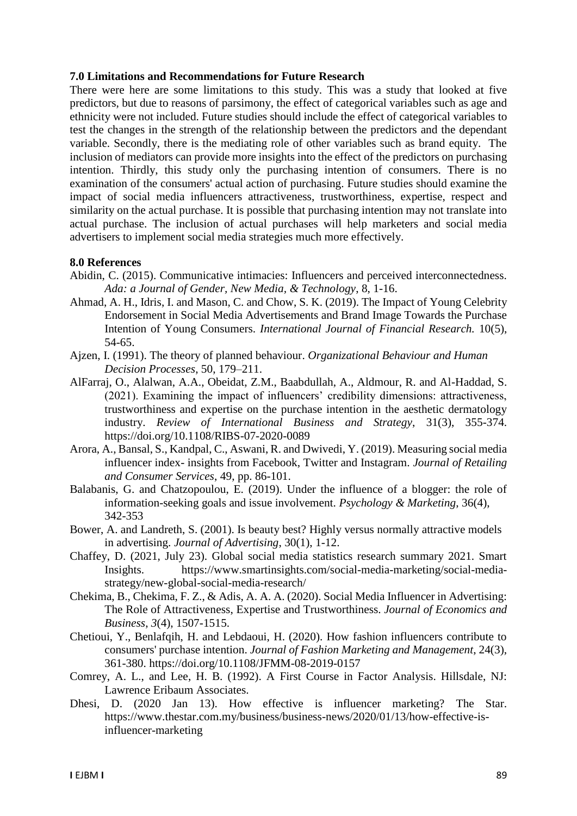#### **7.0 Limitations and Recommendations for Future Research**

There were here are some limitations to this study. This was a study that looked at five predictors, but due to reasons of parsimony, the effect of categorical variables such as age and ethnicity were not included. Future studies should include the effect of categorical variables to test the changes in the strength of the relationship between the predictors and the dependant variable. Secondly, there is the mediating role of other variables such as brand equity. The inclusion of mediators can provide more insights into the effect of the predictors on purchasing intention. Thirdly, this study only the purchasing intention of consumers. There is no examination of the consumers' actual action of purchasing. Future studies should examine the impact of social media influencers attractiveness, trustworthiness, expertise, respect and similarity on the actual purchase. It is possible that purchasing intention may not translate into actual purchase. The inclusion of actual purchases will help marketers and social media advertisers to implement social media strategies much more effectively.

#### **8.0 References**

- Abidin, C. (2015). Communicative intimacies: Influencers and perceived interconnectedness. *Ada: a Journal of Gender, New Media, & Technology*, 8, 1-16.
- Ahmad, A. H., Idris, I. and Mason, C. and Chow, S. K. (2019). The Impact of Young Celebrity Endorsement in Social Media Advertisements and Brand Image Towards the Purchase Intention of Young Consumers. *International Journal of Financial Research.* 10(5), 54-65.
- Ajzen, I. (1991). The theory of planned behaviour. *Organizational Behaviour and Human Decision Processes*, 50, 179–211.
- AlFarraj, O., Alalwan, A.A., Obeidat, Z.M., Baabdullah, A., Aldmour, R. and Al-Haddad, S. (2021). Examining the impact of influencers' credibility dimensions: attractiveness, trustworthiness and expertise on the purchase intention in the aesthetic dermatology industry. *Review of International Business and Strategy*, 31(3), 355-374. <https://doi.org/10.1108/RIBS-07-2020-0089>
- Arora, A., Bansal, S., Kandpal, C., Aswani, R. and Dwivedi, Y. (2019). Measuring social media influencer index- insights from Facebook, Twitter and Instagram. *Journal of Retailing and Consumer Services*, 49, pp. 86-101.
- Balabanis, G. and Chatzopoulou, E. (2019). Under the influence of a blogger: the role of information-seeking goals and issue involvement. *Psychology & Marketing*, 36(4), 342-353
- Bower, A. and Landreth, S. (2001). Is beauty best? Highly versus normally attractive models in advertising. *Journal of Advertising*, 30(1), 1-12.
- Chaffey, D. (2021, July 23). Global social media statistics research summary 2021. Smart Insights. [https://www.smartinsights.com/social-media-marketing/social-media](https://www.smartinsights.com/social-media-marketing/social-media-strategy/new-global-social-media-research/)[strategy/new-global-social-media-research/](https://www.smartinsights.com/social-media-marketing/social-media-strategy/new-global-social-media-research/)
- Chekima, B., Chekima, F. Z., & Adis, A. A. A. (2020). Social Media Influencer in Advertising: The Role of Attractiveness, Expertise and Trustworthiness. *Journal of Economics and Business*, *3*(4), 1507-1515.
- Chetioui, Y., Benlafqih, H. and Lebdaoui, H. (2020). How fashion influencers contribute to consumers' purchase intention. *Journal of Fashion Marketing and Management*, 24(3), 361-380.<https://doi.org/10.1108/JFMM-08-2019-0157>
- Comrey, A. L., and Lee, H. B. (1992). A First Course in Factor Analysis. Hillsdale, NJ: Lawrence Eribaum Associates.
- Dhesi, D. (2020 Jan 13). How effective is influencer marketing? The Star. https://www.thestar.com.my/business/business-news/2020/01/13/how-effective-isinfluencer-marketing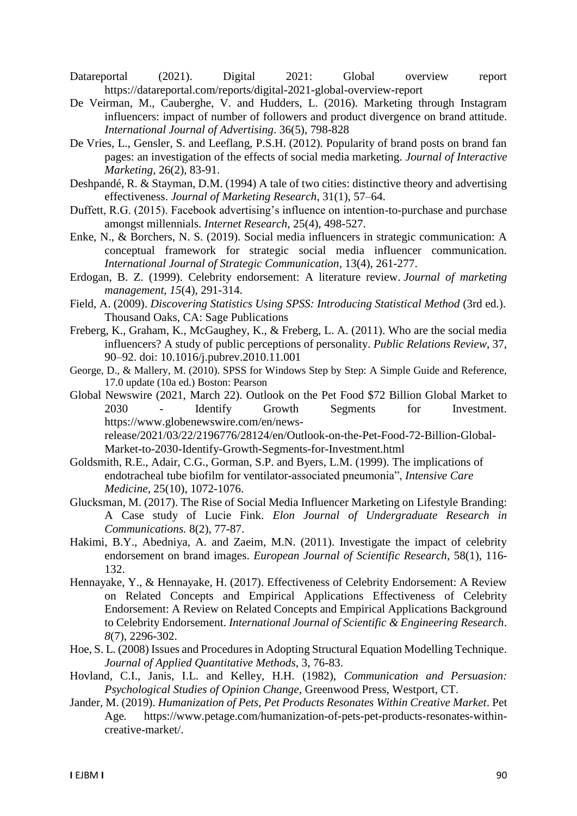Datareportal (2021). Digital 2021: Global overview report <https://datareportal.com/reports/digital-2021-global-overview-report>

- De Veirman, M., Cauberghe, V. and Hudders, L. (2016). Marketing through Instagram influencers: impact of number of followers and product divergence on brand attitude. *International Journal of Advertising*. 36(5), 798-828
- De Vries, L., Gensler, S. and Leeflang, P.S.H. (2012). Popularity of brand posts on brand fan pages: an investigation of the effects of social media marketing. *Journal of Interactive Marketing,* 26(2), 83-91.
- Deshpandé, R. & Stayman, D.M. (1994) A tale of two cities: distinctive theory and advertising effectiveness. *Journal of Marketing Research*, 31(1), 57–64.
- Duffett, R.G. (2015). Facebook advertising's influence on intention-to-purchase and purchase amongst millennials. *Internet Research*, 25(4), 498-527.
- Enke, N., & Borchers, N. S. (2019). Social media influencers in strategic communication: A conceptual framework for strategic social media influencer communication. *International Journal of Strategic Communication*, 13(4), 261-277.
- Erdogan, B. Z. (1999). Celebrity endorsement: A literature review. *Journal of marketing management*, *15*(4), 291-314.
- Field, A. (2009). *Discovering Statistics Using SPSS: Introducing Statistical Method* (3rd ed.). Thousand Oaks, CA: Sage Publications
- Freberg, K., Graham, K., McGaughey, K., & Freberg, L. A. (2011). Who are the social media influencers? A study of public perceptions of personality. *Public Relations Review*, 37, 90–92. doi: 10.1016/j.pubrev.2010.11.001
- George, D., & Mallery, M. (2010). SPSS for Windows Step by Step: A Simple Guide and Reference, 17.0 update (10a ed.) Boston: Pearson
- Global Newswire (2021, March 22). Outlook on the Pet Food \$72 Billion Global Market to 2030 - Identify Growth Segments for Investment. [https://www.globenewswire.com/en/news](https://www.globenewswire.com/en/news-release/2021/03/22/2196776/28124/en/Outlook-on-the-Pet-Food-72-Billion-Global-Market-to-2030-Identify-Growth-Segments-for-Investment.html)[release/2021/03/22/2196776/28124/en/Outlook-on-the-Pet-Food-72-Billion-Global-](https://www.globenewswire.com/en/news-release/2021/03/22/2196776/28124/en/Outlook-on-the-Pet-Food-72-Billion-Global-Market-to-2030-Identify-Growth-Segments-for-Investment.html)[Market-to-2030-Identify-Growth-Segments-for-Investment.html](https://www.globenewswire.com/en/news-release/2021/03/22/2196776/28124/en/Outlook-on-the-Pet-Food-72-Billion-Global-Market-to-2030-Identify-Growth-Segments-for-Investment.html)
- Goldsmith, R.E., Adair, C.G., Gorman, S.P. and Byers, L.M. (1999). The implications of endotracheal tube biofilm for ventilator-associated pneumonia", *Intensive Care Medicine*, 25(10), 1072-1076.
- Glucksman, M. (2017). The Rise of Social Media Influencer Marketing on Lifestyle Branding: A Case study of Lucie Fink. *Elon Journal of Undergraduate Research in Communications.* 8(2), 77-87.
- Hakimi, B.Y., Abedniya, A. and Zaeim, M.N. (2011). Investigate the impact of celebrity endorsement on brand images. *European Journal of Scientific Research*, 58(1), 116- 132.
- Hennayake, Y., & Hennayake, H. (2017). Effectiveness of Celebrity Endorsement: A Review on Related Concepts and Empirical Applications Effectiveness of Celebrity Endorsement: A Review on Related Concepts and Empirical Applications Background to Celebrity Endorsement. *International Journal of Scientific & Engineering Research*. *8*(7), 2296-302.
- Hoe, S. L. (2008) Issues and Procedures in Adopting Structural Equation Modelling Technique. *Journal of Applied Quantitative Methods*, 3, 76-83.
- Hovland, C.I., Janis, I.L. and Kelley, H.H. (1982), *Communication and Persuasion: Psychological Studies of Opinion Change*, Greenwood Press, Westport, CT.
- Jander, M. (2019). *Humanization of Pets, Pet Products Resonates Within Creative Market*. Pet Age*.* https://www.petage.com/humanization-of-pets-pet-products-resonates-withincreative-market/.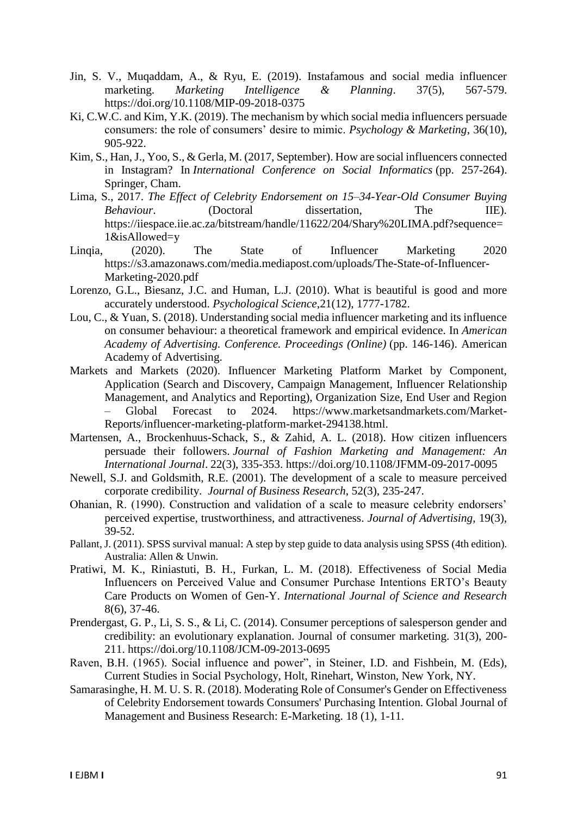- Jin, S. V., Muqaddam, A., & Ryu, E. (2019). Instafamous and social media influencer marketing. *Marketing Intelligence & Planning*. 37(5), 567-579. <https://doi.org/10.1108/MIP-09-2018-0375>
- Ki, C.W.C. and Kim, Y.K. (2019). The mechanism by which social media influencers persuade consumers: the role of consumers' desire to mimic. *Psychology & Marketing*, 36(10), 905-922.
- Kim, S., Han, J., Yoo, S., & Gerla, M. (2017, September). How are social influencers connected in Instagram? In *International Conference on Social Informatics* (pp. 257-264). Springer, Cham.
- Lima, S., 2017. *The Effect of Celebrity Endorsement on 15–34-Year-Old Consumer Buying Behaviour*. (Doctoral dissertation, The IIE). https://iiespace.iie.ac.za/bitstream/handle/11622/204/Shary%20LIMA.pdf?sequence= 1&isAllowed=y
- Linqia, (2020). The State of Influencer Marketing 2020 [https://s3.amazonaws.com/media.mediapost.com/uploads/The-State-of-Influencer-](https://s3.amazonaws.com/media.mediapost.com/uploads/The-State-of-Influencer-Marketing-2020.pdf)[Marketing-2020.pdf](https://s3.amazonaws.com/media.mediapost.com/uploads/The-State-of-Influencer-Marketing-2020.pdf)
- Lorenzo, G.L., Biesanz, J.C. and Human, L.J. (2010). What is beautiful is good and more accurately understood. *Psychological Science*,21(12), 1777-1782.
- Lou, C., & Yuan, S. (2018). Understanding social media influencer marketing and its influence on consumer behaviour: a theoretical framework and empirical evidence. In *American Academy of Advertising. Conference. Proceedings (Online)* (pp. 146-146). American Academy of Advertising.
- Markets and Markets (2020). Influencer Marketing Platform Market by Component, Application (Search and Discovery, Campaign Management, Influencer Relationship Management, and Analytics and Reporting), Organization Size, End User and Region – Global Forecast to 2024*.* https://www.marketsandmarkets.com/Market-Reports/influencer-marketing-platform-market-294138.html.
- Martensen, A., Brockenhuus-Schack, S., & Zahid, A. L. (2018). How citizen influencers persuade their followers. *Journal of Fashion Marketing and Management: An International Journal*. 22(3), 335-353. https://doi.org/10.1108/JFMM-09-2017-0095
- Newell, S.J. and Goldsmith, R.E. (2001). The development of a scale to measure perceived corporate credibility. *Journal of Business Research*, 52(3), 235-247.
- Ohanian, R. (1990). Construction and validation of a scale to measure celebrity endorsers' perceived expertise, trustworthiness, and attractiveness. *Journal of Advertising*, 19(3), 39-52.
- Pallant, J. (2011). SPSS survival manual: A step by step guide to data analysis using SPSS (4th edition). Australia: Allen & Unwin.
- Pratiwi, M. K., Riniastuti, B. H., Furkan, L. M. (2018). Effectiveness of Social Media Influencers on Perceived Value and Consumer Purchase Intentions ERTO's Beauty Care Products on Women of Gen-Y. *International Journal of Science and Research*  8(6), 37-46.
- Prendergast, G. P., Li, S. S., & Li, C. (2014). Consumer perceptions of salesperson gender and credibility: an evolutionary explanation. Journal of consumer marketing. 31(3), 200- 211. https://doi.org/10.1108/JCM-09-2013-0695
- Raven, B.H. (1965). Social influence and power", in Steiner, I.D. and Fishbein, M. (Eds), Current Studies in Social Psychology, Holt, Rinehart, Winston, New York, NY.
- Samarasinghe, H. M. U. S. R. (2018). Moderating Role of Consumer's Gender on Effectiveness of Celebrity Endorsement towards Consumers' Purchasing Intention. Global Journal of Management and Business Research: E-Marketing. 18 (1), 1-11.